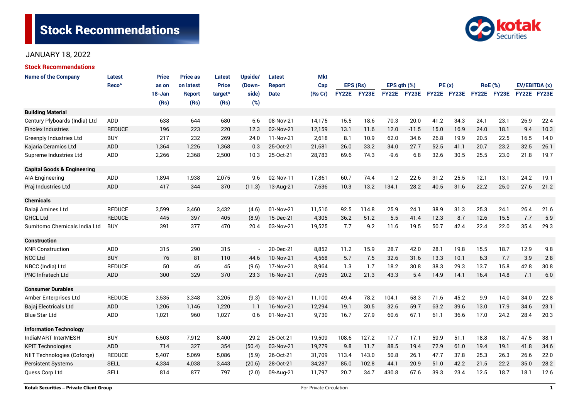# **Stock Recommendations**



### JANUARY 18, 2022

| <b>Stock Recommendations</b>           |                   |        |                 |                     |         |               |            |              |          |              |         |             |      |                |      |               |      |
|----------------------------------------|-------------------|--------|-----------------|---------------------|---------|---------------|------------|--------------|----------|--------------|---------|-------------|------|----------------|------|---------------|------|
| <b>Name of the Company</b>             | Latest            | Price  | <b>Price as</b> | Latest              | Upside/ | Latest        | <b>Mkt</b> |              |          |              |         |             |      |                |      |               |      |
|                                        | Reco <sup>^</sup> | as on  | on latest       | <b>Price</b>        | (Down-  | <b>Report</b> | Cap        |              | EPS (Rs) | EPS gth (%)  |         | PE(x)       |      | <b>RoE</b> (%) |      | EV/EBITDA (x) |      |
|                                        |                   | 18-Jan | <b>Report</b>   | target <sup>^</sup> | side)   | <b>Date</b>   | (Rs Cr)    | <b>FY22E</b> | FY23E    | <b>FY22E</b> | FY23E   | FY22E FY23E |      | FY22E FY23E    |      | FY22E FY23E   |      |
|                                        |                   | (Rs)   | (Rs)            | (Rs)                | (%)     |               |            |              |          |              |         |             |      |                |      |               |      |
| <b>Building Material</b>               |                   |        |                 |                     |         |               |            |              |          |              |         |             |      |                |      |               |      |
| Century Plyboards (India) Ltd          | <b>ADD</b>        | 638    | 644             | 680                 | 6.6     | 08-Nov-21     | 14,175     | 15.5         | 18.6     | 70.3         | 20.0    | 41.2        | 34.3 | 24.1           | 23.1 | 26.9          | 22.4 |
| <b>Finolex Industries</b>              | <b>REDUCE</b>     | 196    | 223             | 220                 | 12.3    | 02-Nov-21     | 12,159     | 13.1         | 11.6     | 12.0         | $-11.5$ | 15.0        | 16.9 | 24.0           | 18.1 | 9.4           | 10.3 |
| <b>Greenply Industries Ltd</b>         | <b>BUY</b>        | 217    | 232             | 269                 | 24.0    | 11-Nov-21     | 2,618      | 8.1          | 10.9     | 62.0         | 34.6    | 26.8        | 19.9 | 20.5           | 22.5 | 16.5          | 14.0 |
| Kajaria Ceramics Ltd                   | <b>ADD</b>        | 1,364  | 1,226           | 1,368               | 0.3     | 25-Oct-21     | 21,681     | 26.0         | 33.2     | 34.0         | 27.7    | 52.5        | 41.1 | 20.7           | 23.2 | 32.5          | 26.1 |
| Supreme Industries Ltd                 | ADD               | 2,266  | 2,368           | 2,500               | 10.3    | 25-Oct-21     | 28,783     | 69.6         | 74.3     | $-9.6$       | 6.8     | 32.6        | 30.5 | 25.5           | 23.0 | 21.8          | 19.7 |
| <b>Capital Goods &amp; Engineering</b> |                   |        |                 |                     |         |               |            |              |          |              |         |             |      |                |      |               |      |
| AIA Engineering                        | ADD               | 1,894  | 1,938           | 2,075               | 9.6     | 02-Nov-11     | 17,861     | 60.7         | 74.4     | 1.2          | 22.6    | 31.2        | 25.5 | 12.1           | 13.1 | 24.2          | 19.1 |
| Praj Industries Ltd                    | ADD               | 417    | 344             | 370                 | (11.3)  | 13-Aug-21     | 7,636      | 10.3         | 13.2     | 134.1        | 28.2    | 40.5        | 31.6 | 22.2           | 25.0 | 27.6          | 21.2 |
| <b>Chemicals</b>                       |                   |        |                 |                     |         |               |            |              |          |              |         |             |      |                |      |               |      |
| Balaji Amines Ltd                      | <b>REDUCE</b>     | 3,599  | 3,460           | 3,432               | (4.6)   | 01-Nov-21     | 11,516     | 92.5         | 114.8    | 25.9         | 24.1    | 38.9        | 31.3 | 25.3           | 24.1 | 26.4          | 21.6 |
| <b>GHCL Ltd</b>                        | <b>REDUCE</b>     | 445    | 397             | 405                 | (8.9)   | 15-Dec-21     | 4,305      | 36.2         | 51.2     | 5.5          | 41.4    | 12.3        | 8.7  | 12.6           | 15.5 | 7.7           | 5.9  |
| Sumitomo Chemicals India Ltd           | <b>BUY</b>        | 391    | 377             | 470                 | 20.4    | 03-Nov-21     | 19,525     | 7.7          | 9.2      | 11.6         | 19.5    | 50.7        | 42.4 | 22.4           | 22.0 | 35.4          | 29.3 |
| <b>Construction</b>                    |                   |        |                 |                     |         |               |            |              |          |              |         |             |      |                |      |               |      |
| <b>KNR Construction</b>                | ADD               | 315    | 290             | 315                 |         | 20-Dec-21     | 8,852      | 11.2         | 15.9     | 28.7         | 42.0    | 28.1        | 19.8 | 15.5           | 18.7 | 12.9          | 9.8  |
| <b>NCC Ltd</b>                         | <b>BUY</b>        | 76     | 81              | 110                 | 44.6    | 10-Nov-21     | 4,568      | 5.7          | 7.5      | 32.6         | 31.6    | 13.3        | 10.1 | 6.3            | 7.7  | 3.9           | 2.8  |
| NBCC (India) Ltd                       | <b>REDUCE</b>     | 50     | 46              | 45                  | (9.6)   | 17-Nov-21     | 8,964      | 1.3          | 1.7      | 18.2         | 30.8    | 38.3        | 29.3 | 13.7           | 15.8 | 42.8          | 30.8 |
| <b>PNC Infratech Ltd</b>               | ADD               | 300    | 329             | 370                 | 23.3    | 16-Nov-21     | 7,695      | 20.2         | 21.3     | 43.3         | 5.4     | 14.9        | 14.1 | 16.4           | 14.8 | 7.1           | 6.0  |
| <b>Consumer Durables</b>               |                   |        |                 |                     |         |               |            |              |          |              |         |             |      |                |      |               |      |
| Amber Enterprises Ltd                  | <b>REDUCE</b>     | 3,535  | 3,348           | 3,205               | (9.3)   | 03-Nov-21     | 11,100     | 49.4         | 78.2     | 104.1        | 58.3    | 71.6        | 45.2 | 9.9            | 14.0 | 34.0          | 22.8 |
| Bajaj Electricals Ltd                  | <b>ADD</b>        | 1,206  | 1.146           | 1,220               | 1.1     | 16-Nov-21     | 12,294     | 19.1         | 30.5     | 32.6         | 59.7    | 63.2        | 39.6 | 13.0           | 17.9 | 34.6          | 23.1 |
| <b>Blue Star Ltd</b>                   | ADD               | 1,021  | 960             | 1,027               | 0.6     | 01-Nov-21     | 9,730      | 16.7         | 27.9     | 60.6         | 67.1    | 61.1        | 36.6 | 17.0           | 24.2 | 28.4          | 20.3 |
| <b>Information Technology</b>          |                   |        |                 |                     |         |               |            |              |          |              |         |             |      |                |      |               |      |
| IndiaMART InterMESH                    | <b>BUY</b>        | 6,503  | 7,912           | 8,400               | 29.2    | 25-Oct-21     | 19,509     | 108.6        | 127.2    | 17.7         | 17.1    | 59.9        | 51.1 | 18.8           | 18.7 | 47.5          | 38.1 |
| <b>KPIT Technologies</b>               | <b>ADD</b>        | 714    | 327             | 354                 | (50.4)  | 03-Nov-21     | 19,279     | 9.8          | 11.7     | 88.5         | 19.4    | 72.9        | 61.0 | 19.4           | 19.1 | 41.8          | 34.6 |
| NIIT Technologies (Coforge)            | <b>REDUCE</b>     | 5,407  | 5,069           | 5,086               | (5.9)   | 26-Oct-21     | 31,709     | 113.4        | 143.0    | 50.8         | 26.1    | 47.7        | 37.8 | 25.3           | 26.3 | 26.6          | 22.0 |
| <b>Persistent Systems</b>              | <b>SELL</b>       | 4,334  | 4,038           | 3,443               | (20.6)  | 28-Oct-21     | 34,287     | 85.0         | 102.8    | 44.1         | 20.9    | 51.0        | 42.2 | 21.5           | 22.2 | 35.0          | 28.2 |
| Quess Corp Ltd                         | <b>SELL</b>       | 814    | 877             | 797                 | (2.0)   | 09-Aug-21     | 11,797     | 20.7         | 34.7     | 430.8        | 67.6    | 39.3        | 23.4 | 12.5           | 18.7 | 18.1          | 12.6 |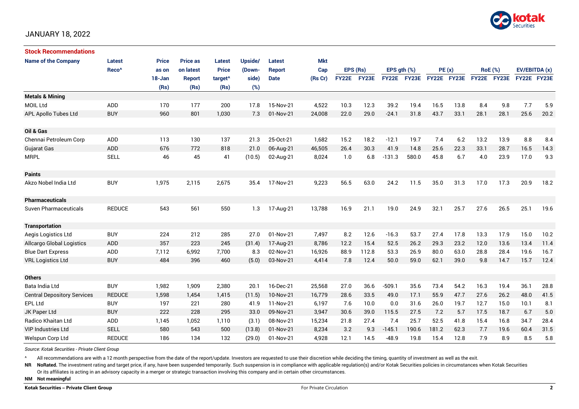

#### JANUARY 18, 2022

| <b>Stock Recommendations</b>       |                   |        |                 |                     |         |               |            |              |       |                  |       |             |      |      |                |                    |      |
|------------------------------------|-------------------|--------|-----------------|---------------------|---------|---------------|------------|--------------|-------|------------------|-------|-------------|------|------|----------------|--------------------|------|
| <b>Name of the Company</b>         | <b>Latest</b>     | Price  | <b>Price as</b> | <b>Latest</b>       | Upside/ | Latest        | <b>Mkt</b> |              |       |                  |       |             |      |      |                |                    |      |
|                                    | Reco <sup>^</sup> | as on  | on latest       | <b>Price</b>        | (Down-  | <b>Report</b> | Cap        | EPS (Rs)     |       | EPS $gth$ $(\%)$ |       | PE(x)       |      |      | <b>RoE</b> (%) | EV/EBITDA (x)      |      |
|                                    |                   | 18-Jan | <b>Report</b>   | target <sup>^</sup> | side)   | <b>Date</b>   | (Rs Cr)    | <b>FY22E</b> | FY23E | <b>FY22E</b>     | FY23E | FY22E FY23E |      |      | FY22E FY23E    | <b>FY22E FY23E</b> |      |
|                                    |                   | (Rs)   | (Rs)            | (Rs)                | (%)     |               |            |              |       |                  |       |             |      |      |                |                    |      |
| <b>Metals &amp; Mining</b>         |                   |        |                 |                     |         |               |            |              |       |                  |       |             |      |      |                |                    |      |
| MOIL Ltd                           | <b>ADD</b>        | 170    | 177             | 200                 | 17.8    | 15-Nov-21     | 4,522      | 10.3         | 12.3  | 39.2             | 19.4  | 16.5        | 13.8 | 8.4  | 9.8            | 7.7                | 5.9  |
| APL Apollo Tubes Ltd               | <b>BUY</b>        | 960    | 801             | 1,030               | 7.3     | 01-Nov-21     | 24,008     | 22.0         | 29.0  | $-24.1$          | 31.8  | 43.7        | 33.1 | 28.1 | 28.1           | 25.6               | 20.2 |
|                                    |                   |        |                 |                     |         |               |            |              |       |                  |       |             |      |      |                |                    |      |
| Oil & Gas                          |                   |        |                 |                     |         |               |            |              |       |                  |       |             |      |      |                |                    |      |
| Chennai Petroleum Corp             | ADD               | 113    | 130             | 137                 | 21.3    | 25-Oct-21     | 1,682      | 15.2         | 18.2  | $-12.1$          | 19.7  | 7.4         | 6.2  | 13.2 | 13.9           | 8.8                | 8.4  |
| <b>Gujarat Gas</b>                 | <b>ADD</b>        | 676    | 772             | 818                 | 21.0    | 06-Aug-21     | 46,505     | 26.4         | 30.3  | 41.9             | 14.8  | 25.6        | 22.3 | 33.1 | 28.7           | 16.5               | 14.3 |
| <b>MRPL</b>                        | <b>SELL</b>       | 46     | 45              | 41                  | (10.5)  | 02-Aug-21     | 8,024      | 1.0          | 6.8   | $-131.3$         | 580.0 | 45.8        | 6.7  | 4.0  | 23.9           | 17.0               | 9.3  |
|                                    |                   |        |                 |                     |         |               |            |              |       |                  |       |             |      |      |                |                    |      |
| <b>Paints</b>                      |                   |        |                 |                     |         |               |            |              |       |                  |       |             |      |      |                |                    |      |
| Akzo Nobel India Ltd               | <b>BUY</b>        | 1,975  | 2,115           | 2,675               | 35.4    | 17-Nov-21     | 9,223      | 56.5         | 63.0  | 24.2             | 11.5  | 35.0        | 31.3 | 17.0 | 17.3           | 20.9               | 18.2 |
|                                    |                   |        |                 |                     |         |               |            |              |       |                  |       |             |      |      |                |                    |      |
| <b>Pharmaceuticals</b>             |                   |        |                 |                     |         |               |            |              |       |                  |       |             |      |      |                |                    |      |
| <b>Suven Pharmaceuticals</b>       | <b>REDUCE</b>     | 543    | 561             | 550                 | 1.3     | 17-Aug-21     | 13,788     | 16.9         | 21.1  | 19.0             | 24.9  | 32.1        | 25.7 | 27.6 | 26.5           | 25.1               | 19.6 |
|                                    |                   |        |                 |                     |         |               |            |              |       |                  |       |             |      |      |                |                    |      |
| <b>Transportation</b>              |                   |        |                 |                     |         |               |            |              |       |                  |       |             |      |      |                |                    |      |
| Aegis Logistics Ltd                | <b>BUY</b>        | 224    | 212             | 285                 | 27.0    | 01-Nov-21     | 7,497      | 8.2          | 12.6  | $-16.3$          | 53.7  | 27.4        | 17.8 | 13.3 | 17.9           | 15.0               | 10.2 |
| <b>Allcargo Global Logistics</b>   | <b>ADD</b>        | 357    | 223             | 245                 | (31.4)  | 17-Aug-21     | 8,786      | 12.2         | 15.4  | 52.5             | 26.2  | 29.3        | 23.2 | 12.0 | 13.6           | 13.4               | 11.4 |
| <b>Blue Dart Express</b>           | ADD               | 7,112  | 6,992           | 7,700               | 8.3     | 02-Nov-21     | 16,926     | 88.9         | 112.8 | 53.3             | 26.9  | 80.0        | 63.0 | 28.8 | 28.4           | 19.6               | 16.7 |
| <b>VRL Logistics Ltd</b>           | <b>BUY</b>        | 484    | 396             | 460                 | (5.0)   | 03-Nov-21     | 4,414      | 7.8          | 12.4  | 50.0             | 59.0  | 62.1        | 39.0 | 9.8  | 14.7           | 15.7               | 12.4 |
|                                    |                   |        |                 |                     |         |               |            |              |       |                  |       |             |      |      |                |                    |      |
| <b>Others</b>                      |                   |        |                 |                     |         |               |            |              |       |                  |       |             |      |      |                |                    |      |
| Bata India Ltd                     | <b>BUY</b>        | 1,982  | 1,909           | 2,380               | 20.1    | 16-Dec-21     | 25,568     | 27.0         | 36.6  | $-509.1$         | 35.6  | 73.4        | 54.2 | 16.3 | 19.4           | 36.1               | 28.8 |
| <b>Central Depository Services</b> | <b>REDUCE</b>     | 1,598  | 1,454           | 1,415               | (11.5)  | 10-Nov-21     | 16,779     | 28.6         | 33.5  | 49.0             | 17.1  | 55.9        | 47.7 | 27.6 | 26.2           | 48.0               | 41.5 |
| EPL Ltd                            | <b>BUY</b>        | 197    | 221             | 280                 | 41.9    | 11-Nov-21     | 6,197      | 7.6          | 10.0  | 0.0              | 31.6  | 26.0        | 19.7 | 12.7 | 15.0           | 10.1               | 8.1  |
| JK Paper Ltd                       | <b>BUY</b>        | 222    | 228             | 295                 | 33.0    | 09-Nov-21     | 3,947      | 30.6         | 39.0  | 115.5            | 27.5  | 7.2         | 5.7  | 17.5 | 18.7           | 6.7                | 5.0  |
| <b>Radico Khaitan Ltd</b>          | ADD               | 1,145  | 1,052           | 1,110               | (3.1)   | 08-Nov-21     | 15,234     | 21.8         | 27.4  | 7.4              | 25.7  | 52.5        | 41.8 | 15.4 | 16.8           | 34.7               | 28.4 |
| <b>VIP Industries Ltd</b>          | <b>SELL</b>       | 580    | 543             | 500                 | (13.8)  | 01-Nov-21     | 8,234      | 3.2          | 9.3   | $-145.1$         | 190.6 | 181.2       | 62.3 | 7.7  | 19.6           | 60.4               | 31.5 |
| Welspun Corp Ltd                   | <b>REDUCE</b>     | 186    | 134             | 132                 | (29.0)  | 01-Nov-21     | 4,928      | 12.1         | 14.5  | $-48.9$          | 19.8  | 15.4        | 12.8 | 7.9  | 8.9            | 8.5                | 5.8  |

*Source: Kotak Securities - Private Client Group*

All recommendations are with a 12 month perspective from the date of the report/update. Investors are requested to use their discretion while deciding the timing, quantity of investment as well as the exit.

NR NoRated. The investment rating and target price, if any, have been suspended temporarily. Such suspension is in compliance with applicable regulation(s) and/or Kotak Securities policies in circumstances when Kotak Secur

Or its affiliates is acting in an advisory capacity in a merger or strategic transaction involving this company and in certain other circumstances.

**NM Not meaningful**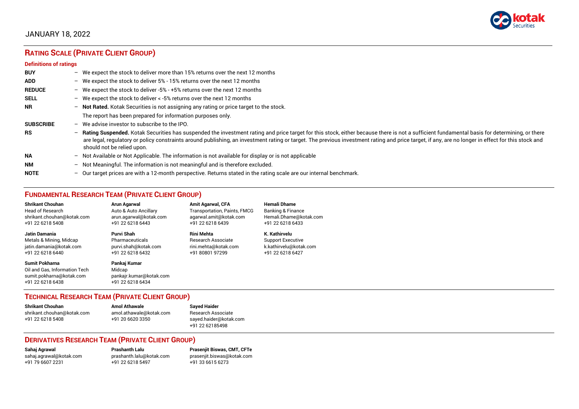

### JANUARY 18, 2022

## **RATING SCALE (PRIVATE CLIENT GROUP)**

#### **Definitions of ratings**

| <b>BUY</b>       | - We expect the stock to deliver more than 15% returns over the next 12 months                                                                                                                                                                                                                                                                                                                                                     |
|------------------|------------------------------------------------------------------------------------------------------------------------------------------------------------------------------------------------------------------------------------------------------------------------------------------------------------------------------------------------------------------------------------------------------------------------------------|
| <b>ADD</b>       | - We expect the stock to deliver 5% - 15% returns over the next 12 months                                                                                                                                                                                                                                                                                                                                                          |
| <b>REDUCE</b>    | - We expect the stock to deliver -5% - +5% returns over the next 12 months                                                                                                                                                                                                                                                                                                                                                         |
| <b>SELL</b>      | - We expect the stock to deliver $\lt$ -5% returns over the next 12 months                                                                                                                                                                                                                                                                                                                                                         |
| <b>NR</b>        | - Not Rated. Kotak Securities is not assigning any rating or price target to the stock.                                                                                                                                                                                                                                                                                                                                            |
|                  | The report has been prepared for information purposes only.                                                                                                                                                                                                                                                                                                                                                                        |
| <b>SUBSCRIBE</b> | $-$ We advise investor to subscribe to the IPO.                                                                                                                                                                                                                                                                                                                                                                                    |
| <b>RS</b>        | - Rating Suspended. Kotak Securities has suspended the investment rating and price target for this stock, either because there is not a sufficient fundamental basis for determining, or there<br>are legal, regulatory or policy constraints around publishing, an investment rating or target. The previous investment rating and price target, if any, are no longer in effect for this stock and<br>should not be relied upon. |
| <b>NA</b>        | - Not Available or Not Applicable. The information is not available for display or is not applicable                                                                                                                                                                                                                                                                                                                               |
| <b>NM</b>        | - Not Meaningful. The information is not meaningful and is therefore excluded.                                                                                                                                                                                                                                                                                                                                                     |
| <b>NOTE</b>      | $-$ Our target prices are with a 12-month perspective. Returns stated in the rating scale are our internal benchmark.                                                                                                                                                                                                                                                                                                              |

### **FUNDAMENTAL RESEARCH TEAM (PRIVATE CLIENT GROUP)**

| <b>Shrikant Chouhan</b>                                                                                | <b>Arun Agarwal</b>                                                   | <b>Amit Agarwal, CFA</b>            | <b>Hemali Dhame</b>          |
|--------------------------------------------------------------------------------------------------------|-----------------------------------------------------------------------|-------------------------------------|------------------------------|
| <b>Head of Research</b>                                                                                | Auto & Auto Ancillary                                                 | <b>Transportation, Paints, FMCG</b> | <b>Banking &amp; Finance</b> |
| shrikant.chouhan@kotak.com                                                                             | arun.agarwal@kotak.com                                                | agarwal.amit@kotak.com              | Hemali.Dhame@kotak.com       |
| +91 22 6218 5408                                                                                       | +91 22 6218 6443                                                      | +91 22 6218 6439                    | +91 22 6218 6433             |
| Jatin Damania                                                                                          | Purvi Shah                                                            | Rini Mehta                          | K. Kathirvelu                |
| Metals & Mining, Midcap                                                                                | Pharmaceuticals                                                       | Research Associate                  | <b>Support Executive</b>     |
| jatin.damania@kotak.com                                                                                | purvi.shah@kotak.com                                                  | rini.mehta@kotak.com                | k.kathirvelu@kotak.com       |
| +91 22 6218 6440                                                                                       | +91 22 6218 6432                                                      | +91 80801 97299                     | +91 22 6218 6427             |
| <b>Sumit Pokharna</b><br>Oil and Gas. Information Tech<br>sumit.pokharna@kotak.com<br>+91 22 6218 6438 | Pankai Kumar<br>Midcap<br>pankajr.kumar@kotak.com<br>+91 22 6218 6434 |                                     |                              |

### **TECHNICAL RESEARCH TEAM (PRIVATE CLIENT GROUP)**

| Shrikant Chouhan           | <b>Amol Athawale</b>    | <b>Sayed Haider</b>    |
|----------------------------|-------------------------|------------------------|
| shrikant.chouhan@kotak.com | amol.athawale@kotak.com | Research Associate     |
| +91 22 6218 5408           | +91 20 6620 3350        | sayed.haider@kotak.com |
|                            |                         | +91 22 62185498        |

#### **DERIVATIVES RESEARCH TEAM (PRIVATE CLIENT GROUP)**

+91 22 6218 5497 +91 33 6615 6273

**Sahaj Agrawal Prashanth Lalu Prasenjit Biswas, CMT, CFTe** [sahaj.agrawal@kotak.com](mailto:sahaj.agrawal@kotak.com) [prashanth.lalu@kotak.com](mailto:prashanth.lalu@kotak.com) [prasenjit.biswas@kotak.com](mailto:prasenjit.biswas@kotak.com)